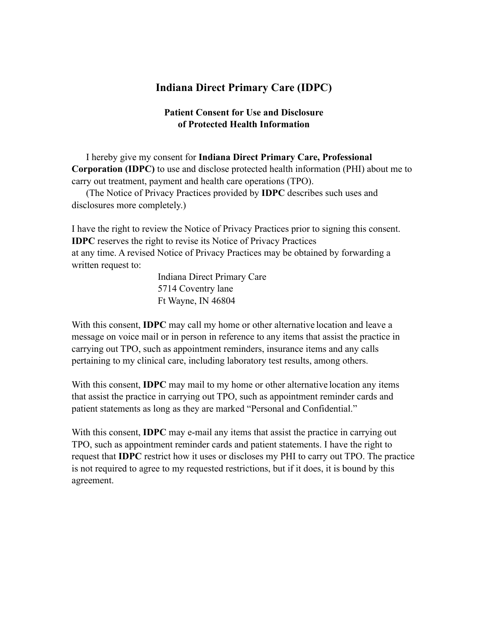## **Indiana Direct Primary Care (IDPC)**

## **Patient Consent for Use and Disclosure of Protected Health Information**

I hereby give my consent for **Indiana Direct Primary Care, Professional Corporation (IDPC)** to use and disclose protected health information (PHI) about me to carry out treatment, payment and health care operations (TPO).

(The Notice of Privacy Practices provided by **IDPC** describes such uses and disclosures more completely.)

I have the right to review the Notice of Privacy Practices prior to signing this consent. **IDPC** reserves the right to revise its Notice of Privacy Practices at any time. A revised Notice of Privacy Practices may be obtained by forwarding a written request to:

> Indiana Direct Primary Care 5714 Coventry lane Ft Wayne, IN 46804

With this consent, **IDPC** may call my home or other alternative location and leave a message on voice mail or in person in reference to any items that assist the practice in carrying out TPO, such as appointment reminders, insurance items and any calls pertaining to my clinical care, including laboratory test results, among others.

With this consent, **IDPC** may mail to my home or other alternative location any items that assist the practice in carrying out TPO, such as appointment reminder cards and patient statements as long as they are marked "Personal and Confidential."

With this consent, **IDPC** may e-mail any items that assist the practice in carrying out TPO, such as appointment reminder cards and patient statements. I have the right to request that **IDPC** restrict how it uses or discloses my PHI to carry out TPO. The practice is not required to agree to my requested restrictions, but if it does, it is bound by this agreement.